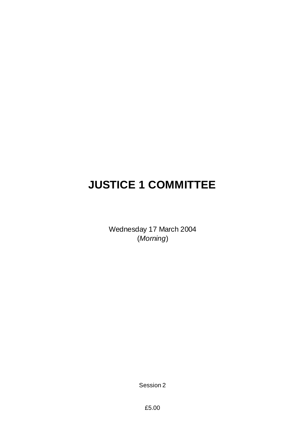# **JUSTICE 1 COMMITTEE**

Wednesday 17 March 2004 (*Morning*)

Session 2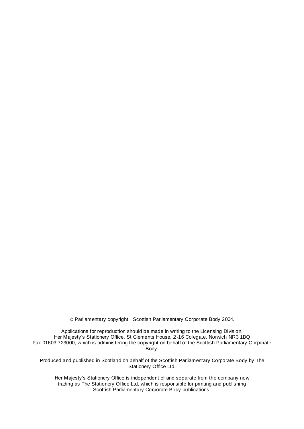Parliamentary copyright. Scottish Parliamentary Corporate Body 2004.

Applications for reproduction should be made in writing to the Licensing Division, Her Majesty's Stationery Office, St Clements House, 2-16 Colegate, Norwich NR3 1BQ Fax 01603 723000, which is administering the copyright on behalf of the Scottish Parliamentary Corporate Body.

Produced and published in Scotland on behalf of the Scottish Parliamentary Corporate Body by The Stationery Office Ltd.

Her Majesty's Stationery Office is independent of and separate from the company now trading as The Stationery Office Ltd, which is responsible for printing and publishing Scottish Parliamentary Corporate Body publications.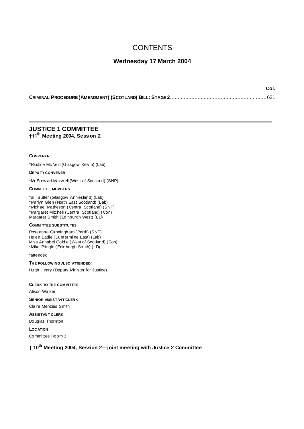# **CONTENTS**

# **Wednesday 17 March 2004**

**Col.**

# **JUSTICE 1 COMMITTEE †11th Meeting 2004, Session 2**

#### **CONVENER**

\*Pauline McNeill (Glasgow Kelvin) (Lab)

**DEPU TY CONVENER**

\*Mr Stew art Maxw ell (West of Scotland) (SNP)

#### **COMMI TTEE MEMBERS**

\*Bill Butler (Glasgow Anniesland) (Lab)

\*Marlyn Glen (North East Scotland) (Lab)

\*Michael Matheson (Central Scotland) (SNP)

\*Margaret Mitchell (Central Scotland) (Con) Margaret Smith (Edinburgh West) (LD)

# **COMMI TTEE SUBSTITU TES**

Roseanna Cunningham (Perth) (SNP) Helen Eadie (Dunfermline East) (Lab) Miss Annabel Goldie (West of Scotland) (Con) \*Mike Pringle (Edinburgh South) (LD)

\*attended

# **THE FOLLOWING ALSO ATTENDED :**

Hugh Henry (Deputy Minister for Justice)

#### **CLERK TO THE COMMITTEE**

Alison Walker

**SENIOR ASSISTAN T CLERK**

Claire Menzies Smith

**ASSISTAN T CLERK** Douglas Thornton

**LOC ATION** Committee Room 3

# **† 10th Meeting 2004, Session 2—joint meeting with Justice 2 Committee**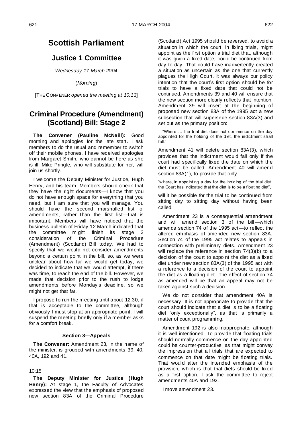# **Scottish Parliament**

# **Justice 1 Committee**

*Wednesday 17 March 2004*

(*Morning*)

[THE CONV ENER *opened the meeting at 10:13*]

# **Criminal Procedure (Amendment) (Scotland) Bill: Stage 2**

**The Convener (Pauline McNeill):** Good morning and apologies for the late start. I ask members to do the usual and remember to switch off their mobile phones. I have received apologies from Margaret Smith, who cannot be here as she is ill. Mike Pringle, who will substitute for her, will join us shortly.

I welcome the Deputy Minister for Justice, Hugh Henry, and his team. Members should check that they have the right documents—I know that you do not have enough space for everything that you need, but I am sure that you will manage. You should have the second marshalled list of amendments, rather than the first list—that is important. Members will have noticed that the business bulletin of Friday 12 March indicated that the committee might finish its stage 2 consideration of the Criminal Procedure (Amendment) (Scotland) Bill today. We had to specify that we would not consider amendments beyond a certain point in the bill, so, as we were unclear about how far we would get today, we decided to indicate that we would attempt, if there was time, to reach the end of the bill. However, we made that decision prior to the rush to lodge amendments before Monday"s deadline, so we might not get that far.

I propose to run the meeting until about 12.30, if that is acceptable to the committee, although obviously I must stop at an appropriate point. I will suspend the meeting briefly only if a member asks for a comfort break.

#### **Section 3—Appeals**

**The Convener:** Amendment 23, in the name of the minister, is grouped with amendments 39, 40, 40A, 192 and 41.

# 10:15

**The Deputy Minister for Justice (Hugh Henry):** At stage 1, the Faculty of Advocates expressed the view that the emphasis of proposed new section 83A of the Criminal Procedure (Scotland) Act 1995 should be reversed, to avoid a situation in which the court, in fixing trials, might appoint as the first option a trial diet that, although it was given a fixed date, could be continued from day to day. That could have inadvertently created a situation as uncertain as the one that currently plagues the High Court. It was always our policy intention that the court"s first option should be for trials to have a fixed date that could not be continued. Amendments 39 and 40 will ensure that the new section more clearly reflects that intention. Amendment 39 will insert at the beginning of proposed new section 83A of the 1995 act a new subsection that will supersede section 83A(3) and set out as the primary position:

"Where … the trial diet does not commence on the day appointed for the holding of the diet, the indictment shall fall."

Amendment 41 will delete section 83A(3), which provides that the indictment would fall only if the court had specifically fixed the date on which the diet must be called. Amendment 40 will amend section 83A(1), to provide that only

"w here, in appointing a day for the holding of the trial diet, the Court has indicated that the diet is to be a floating diet",

will it be possible for the trial to be continued from sitting day to sitting day without having been called.

Amendment 23 is a consequential amendment and will amend section 3 of the bill—which amends section 74 of the 1995 act—to reflect the altered emphasis of amended new section 83A. Section 74 of the 1995 act relates to appeals in connection with preliminary diets. Amendment 23 will replace the reference in section 74(3)(b) to a decision of the court to appoint the diet as a fixed diet under new section 83A(3) of the 1995 act with a reference to a decision of the court to appoint the diet as a floating diet. The effect of section 74 as amended will be that an appeal may not be taken against such a decision.

We do not consider that amendment 40A is necessary. It is not appropriate to provide that the court should indicate that a diet is to be a floating diet "only exceptionally", as that is primarily a matter of court programming.

Amendment 192 is also inappropriate, although it is well intentioned. To provide that floating trials should normally commence on the day appointed could be counter-productive, as that might convey the impression that all trials that are expected to commence on that date might be floating trials. That would alter the intended emphasis of the provision, which is that trial diets should be fixed as a first option. I ask the committee to reject amendments 40A and 192.

I move amendment 23.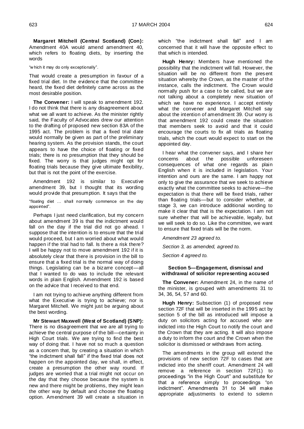**Margaret Mitchell (Central Scotland) (Con):**  Amendment 40A would amend amendment 40, which refers to floating diets, by inserting the words

"w hich it may do only exceptionally".

That would create a presumption in favour of a fixed trial diet. In the evidence that the committee heard, the fixed diet definitely came across as the most desirable position.

**The Convener:** I will speak to amendment 192. I do not think that there is any disagreement about what we all want to achieve. As the minister rightly said, the Faculty of Advocates drew our attention to the drafting of proposed new section 83A of the 1995 act. The problem is that a fixed trial date would normally be given as part of the preliminary hearing system. As the provision stands, the court appears to have the choice of floating or fixed trials; there is no presumption that they should be fixed. The worry is that judges might opt for floating trials because they give ultimate flexibility, but that is not the point of the exercise.

Amendment 192 is similar to Executive amendment 39, but I thought that its wording would provide that presumption. It says that the

"floating diet … shall normally commence on the day appointed".

Perhaps I just need clarification, but my concern about amendment 39 is that the indictment would fall on the day if the trial did not go ahead. I suppose that the intention is to ensure that the trial would proceed, but I am worried about what would happen if the trial had to fall. Is there a risk there? I will be happy not to move amendment 192 if it is absolutely clear that there is provision in the bill to ensure that a fixed trial is the normal way of doing things. Legislating can be a bizarre concept—all that I wanted to do was to include the relevant words in plain English. Amendment 192 is based on the advice that I received to that end.

I am not trying to achieve anything different from what the Executive is trying to achieve; nor is Margaret Mitchell. We might just be arguing about the best wording.

**Mr Stewart Maxwell (West of Scotland) (SNP):**  There is no disagreement that we are all trying to achieve the central purpose of the bill—certainty in High Court trials. We are trying to find the best way of doing that. I have not so much a question as a concern that, by creating a situation in which "the indictment shall fall" if the fixed trial does not happen on the appointed day, we shall, in effect, create a presumption the other way round. If judges are worried that a trial might not occur on the day that they choose because the system is new and there might be problems, they might lean the other way by default and choose the floating option. Amendment 39 will create a situation in

which "the indictment shall fall" and I am concerned that it will have the opposite effect to that which is intended.

**Hugh Henry:** Members have mentioned the possibility that the indictment will fall. However, the situation will be no different from the present situation whereby the Crown, as the master of the instance, calls the indictment. The Crown would normally push for a case to be called, but we are not talking about a completely new situation of which we have no experience. I accept entirely what the convener and Margaret Mitchell say about the intention of amendment 39. Our worry is that amendment 192 could create the situation that members seek to avoid and that it could encourage the courts to fix all trials as floating trials, which the court would expect to start on the appointed day.

I hear what the convener says, and I share her concerns about the possible unforeseen consequences of what one regards as plain English when it is included in legislation. Your intention and ours are the same. I am happy not only to give the assurance that we seek to achieve exactly what the committee seeks to achieve—the expectation is that there will be fixed trials, rather than floating trials—but to consider whether, at stage 3, we can introduce additional wording to make it clear that that is the expectation. I am not sure whether that will be achievable, legally, but we will seek to do so. Like the committee, we want to ensure that fixed trials will be the norm.

*Amendment 23 agreed to.*

*Section 3, as amended, agreed to.*

*Section 4 agreed to.*

# **Section 5—Engagement, dismissal and withdrawal of solicitor representing accused**

**The Convener:** Amendment 24, in the name of the minister, is grouped with amendments 31 to 34, 36, 54, 57 and 60.

**Hugh Henry:** Subsection (1) of proposed new section 72F that will be inserted in the 1995 act by section 5 of the bill as introduced will impose a duty on solicitors acting for accused who are indicted into the High Court to notify the court and the Crown that they are acting. It will also impose a duty to inform the court and the Crown when the solicitor is dismissed or withdraws from acting.

The amendments in the group will extend the provisions of new section 72F to cases that are indicted into the sheriff court. Amendment 24 will remove a reference in section 72F(1) to proceedings "in the High Court" and substitute for that a reference simply to proceedings "on indictment". Amendments 31 to 34 will make appropriate adjustments to extend to solemn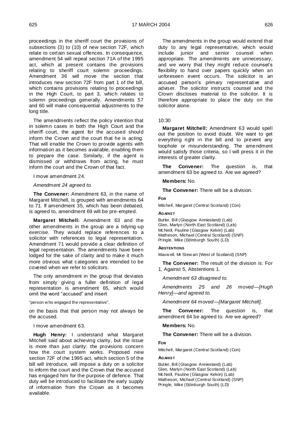proceedings in the sheriff court the provisions of subsections (3) to (10) of new section 72F, which relate to certain sexual offences. In consequence, amendment 54 will repeal section 71A of the 1995 act, which at present contains the provisions relating to sheriff court solemn proceedings. Amendment 36 will move the section that introduces new section 72F from part 1 of the bill, which contains provisions relating to proceedings in the High Court, to part 3, which relates to solemn proceedings generally. Amendments 57 and 60 will make consequential adjustments to the long title.

The amendments reflect the policy intention that in solemn cases in both the High Court and the sheriff court, the agent for the accused should inform the Crown and the court that he is acting. That will enable the Crown to provide agents with information as it becomes available, enabling them to prepare the case. Similarly, if the agent is dismissed or withdraws from acting, he must inform the court and the Crown of that fact.

# I move amendment 24.

#### *Amendment 24 agreed to.*

**The Convener:** Amendment 63, in the name of Margaret Mitchell, is grouped with amendments 64 to 71. If amendment 35, which has been debated, is agreed to, amendment 69 will be pre-empted.

**Margaret Mitchell:** Amendment 63 and the other amendments in the group are a tidying-up exercise. They would replace references to a solicitor with references to legal representation. Amendment 71 would provide a clear definition of legal representation. The amendments have been lodged for the sake of clarity and to make it much more obvious what categories are intended to be covered when we refer to solicitors.

The only amendment in the group that deviates from simply giving a fuller definition of legal representation is amendment 65, which would omit the word "accused" and insert

"person w ho engaged the representative",

on the basis that that person may not always be the accused.

I move amendment 63.

**Hugh Henry:** I understand what Margaret Mitchell said about achieving clarity, but the issue is more than just clarity: the provisions concern how the court system works. Proposed new section 72F of the 1995 act, which section 5 of the bill will introduce, will impose a duty on a solicitor to inform the court and the Crown that the accused has engaged him for the purpose of defence. That duty will be introduced to facilitate the early supply of information from the Crown as it becomes available.

The amendments in the group would extend that duty to any legal representative, which would include junior and senior counsel when appropriate. The amendments are unnecessary, and we worry that they might reduce counsel"s flexibility to hand over papers quickly when an unforeseen event occurs. The solicitor is an accused person"s primary representative and adviser. The solicitor instructs counsel and the Crown discloses material to the solicitor. It is therefore appropriate to place the duty on the solicitor alone.

# 10:30

**Margaret Mitchell:** Amendment 63 would spell out the position to avoid doubt. We want to get everything right in the bill and to prevent any loophole or misunderstanding. The amendment would satisfy those criteria, so I will press it in the interests of greater clarity.

**The Convener:** The question is, that amendment 63 be agreed to. Are we agreed?

#### **Members:** No.

**The Convener:** There will be a division.

#### **FOR**

Mitchell, Margaret (Central Scotland) (Con)

#### **AGAINST**

Butler, Bill (Glasgow Anniesland) (Lab) Glen, Marlyn (North East Scotland) (Lab) McNeill, Pauline (Glasgow Kelvin) (Lab) Matheson, Michael (Central Scotland) (SNP) Pringle, Mike (Edinburgh South) (LD)

#### **ABSTENTIONS**

Maxw ell, Mr Stew art (West of Scotland) (SNP)

**The Convener:** The result of the division is: For 1, Against 5, Abstentions 1.

*Amendment 63 disagreed to.*

*Amendments 25 and 26 moved—[Hugh Henry]—and agreed to.*

*Amendment 64 moved—[Margaret Mitchell].*

**The Convener:** The question is, that amendment 64 be agreed to. Are we agreed?

#### **Members:** No.

**The Convener:** There will be a division.

#### **FOR**

Mitchell, Margaret (Central Scotland) (Con)

#### **AGAINST**

Butler, Bill (Glasgow Anniesland) (Lab) Glen, Marlyn (North East Scotland) (Lab) McNeill, Pauline (Glasgow Kelvin) (Lab) Matheson, Michael (Central Scotland) (SNP) Pringle, Mike (Edinburgh South) (LD)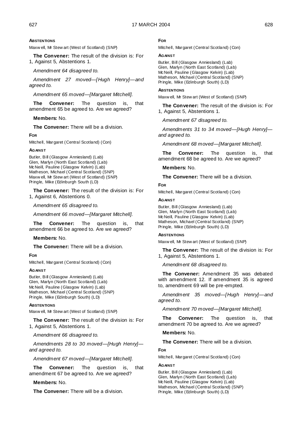# **ABSTENTIONS**

Maxw ell, Mr Stew art (West of Scotland) (SNP)

**The Convener:** The result of the division is: For 1, Against 5, Abstentions 1.

*Amendment 64 disagreed to.*

*Amendment 27 moved—[Hugh Henry]—and agreed to.*

*Amendment 65 moved—[Margaret Mitchell].*

**The Convener:** The question is, that amendment 65 be agreed to. Are we agreed?

# **Members:** No.

**The Convener:** There will be a division.

#### **FOR**

Mitchell, Margaret (Central Scotland) (Con)

#### **AGAINST**

Butler, Bill (Glasgow Anniesland) (Lab) Glen, Marlyn (North East Scotland) (Lab) McNeill, Pauline (Glasgow Kelvin) (Lab) Matheson, Michael (Central Scotland) (SNP) Maxw ell, Mr Stew art (West of Scotland) (SNP) Pringle, Mike (Edinburgh South (LD)

**The Convener:** The result of the division is: For 1, Against 6, Abstentions 0.

*Amendment 65 disagreed to.*

*Amendment 66 moved—[Margaret Mitchell].*

**The Convener:** The question is, that amendment 66 be agreed to. Are we agreed?

#### **Members:** No.

**The Convener:** There will be a division.

# **FOR**

Mitchell, Margaret (Central Scotland) (Con)

#### **AGAINST**

Butler, Bill (Glasgow Anniesland) (Lab) Glen, Marlyn (North East Scotland) (Lab) McNeill, Pauline (Glasgow Kelvin) (Lab) Matheson, Michael (Central Scotland) (SNP) Pringle, Mike (Edinburgh South) (LD)

#### **ABSTENTIONS**

Maxw ell, Mr Stew art (West of Scotland) (SNP)

**The Convener:** The result of the division is: For 1, Against 5, Abstentions 1.

*Amendment 66 disagreed to.*

*Amendments 28 to 30 moved—[Hugh Henry] and agreed to.*

*Amendment 67 moved—[Margaret Mitchell].*

**The Convener:** The question is, that amendment 67 be agreed to. Are we agreed?

# **Members:** No.

**The Convener:** There will be a division.

# **FOR**

Mitchell, Margaret (Central Scotland) (Con)

#### **AGAINST**

Butler, Bill (Glasgow Anniesland) (Lab) Glen, Marlyn (North East Scotland) (Lab) McNeill, Pauline (Glasgow Kelvin) (Lab) Matheson, Michael (Central Scotland) (SNP) Pringle, Mike (Edinburgh South) (LD)

#### **ABSTENTIONS**

Maxw ell, Mr Stew art (West of Scotland) (SNP)

**The Convener:** The result of the division is: For 1, Against 5, Abstentions 1.

*Amendment 67 disagreed to.*

*Amendments 31 to 34 moved—[Hugh Henry] and agreed to.*

*Amendment 68 moved—[Margaret Mitchell].*

**The Convener:** The question is, that amendment 68 be agreed to. Are we agreed?

#### **Members:** No.

**The Convener:** There will be a division.

#### **FOR**

Mitchell, Margaret (Central Scotland) (Con)

#### **AGAINST**

Butler, Bill (Glasgow Anniesland) (Lab) Glen, Marlyn (North East Scotland) (Lab) McNeill, Pauline (Glasgow Kelvin) (Lab) Matheson, Michael (Central Scotland) (SNP) Pringle, Mike (Edinburgh South) (LD)

#### **ABSTENTIONS**

Maxw ell, Mr Stew art (West of Scotland) (SNP)

**The Convener:** The result of the division is: For 1, Against 5, Abstentions 1.

*Amendment 68 disagreed to.*

**The Convener:** Amendment 35 was debated with amendment 12. If amendment 35 is agreed to, amendment 69 will be pre-empted.

*Amendment 35 moved—[Hugh Henry]—and agreed to.*

*Amendment 70 moved—[Margaret Mitchell].*

**The Convener:** The question is, that amendment 70 be agreed to. Are we agreed?

#### **Members:** No.

**The Convener:** There will be a division.

# **FOR**

Mitchell, Margaret (Central Scotland) (Con)

#### **AGAINST**

Butler, Bill (Glasgow Anniesland) (Lab) Glen, Marlyn (North East Scotland) (Lab) McNeill, Pauline (Glasgow Kelvin) (Lab) Matheson, Michael (Central Scotland) (SNP) Pringle, Mike (Edinburgh South) (LD)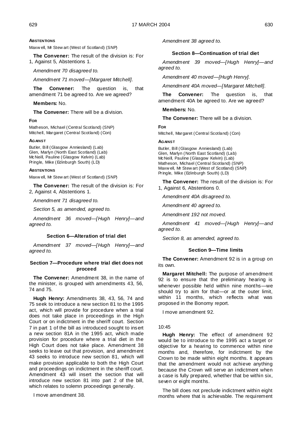# **ABSTENTIONS**

Maxw ell, Mr Stew art (West of Scotland) (SNP)

**The Convener:** The result of the division is: For 1, Against 5, Abstentions 1.

*Amendment 70 disagreed to.*

*Amendment 71 moved—[Margaret Mitchell].*

**The Convener:** The question is, that amendment 71 be agreed to. Are we agreed?

**Members:** No.

**The Convener:** There will be a division.

# **FOR**

Matheson, Michael (Central Scotland) (SNP) Mitchell, Margaret (Central Scotland) (Con)

#### **AGAINST**

Butler, Bill (Glasgow Anniesland) (Lab) Glen, Marlyn (North East Scotland) (Lab) McNeill, Pauline (Glasgow Kelvin) (Lab) Pringle, Mike (Edinburgh South) (LD)

# **ABSTENTIONS**

Maxw ell, Mr Stew art (West of Scotland) (SNP)

**The Convener:** The result of the division is: For 2, Against 4, Abstentions 1.

*Amendment 71 disagreed to.*

*Section 5, as amended, agreed to.*

*Amendment 36 moved—[Hugh Henry]—and agreed to.*

# **Section 6—Alteration of trial diet**

*Amendment 37 moved—[Hugh Henry]—and agreed to.*

# **Section 7—Procedure where trial diet does not proceed**

**The Convener:** Amendment 38, in the name of the minister, is grouped with amendments 43, 56, 74 and 75.

**Hugh Henry:** Amendments 38, 43, 56, 74 and 75 seek to introduce a new section 81 to the 1995 act, which will provide for procedure when a trial does not take place in proceedings in the High Court or on indictment in the sheriff court. Section 7 in part 1 of the bill as introduced sought to insert a new section 81A in the 1995 act, which made provision for procedure where a trial diet in the High Court does not take place. Amendment 38 seeks to leave out that provision, and amendment 43 seeks to introduce new section 81, which will make provision applicable to both the High Court and proceedings on indictment in the sheriff court. Amendment 43 will insert the section that will introduce new section 81 into part 2 of the bill, which relates to solemn proceedings generally.

I move amendment 38.

*Amendment 38 agreed to.*

# **Section 8—Continuation of trial diet**

*Amendment 39 moved—[Hugh Henry]—and agreed to.*

*Amendment 40 moved—[Hugh Henry].*

*Amendment 40A moved—[Margaret Mitchell].*

**The Convener:** The question is, that amendment 40A be agreed to. Are we agreed?

**Members:** No.

**The Convener:** There will be a division.

**FOR**

Mitchell, Margaret (Central Scotland) (Con)

# **AGAINST**

Butler, Bill (Glasgow Anniesland) (Lab) Glen, Marlyn (North East Scotland) (Lab) McNeill, Pauline (Glasgow Kelvin) (Lab) Matheson, Michael (Central Scotland) (SNP) Maxw ell, Mr Stew art (West of Scotland) (SNP) Pringle, Mike (Edinburgh South) (LD)

**The Convener:** The result of the division is: For 1, Against 6, Abstentions 0.

*Amendment 40A disagreed to.*

*Amendment 40 agreed to.*

*Amendment 192 not moved.*

*Amendment 41 moved—[Hugh Henry]—and agreed to.*

*Section 8, as amended, agreed to.*

# **Section 9—Time limits**

**The Convener:** Amendment 92 is in a group on its own.

**Margaret Mitchell:** The purpose of amendment 92 is to ensure that the preliminary hearing is whenever possible held within nine months—we should try to aim for that—or at the outer limit, within 11 months, which reflects what was proposed in the Bonomy report.

I move amendment 92.

#### 10:45

**Hugh Henry:** The effect of amendment 92 would be to introduce to the 1995 act a target or objective for a hearing to commence within nine months and, therefore, for indictment by the Crown to be made within eight months. It appears that the amendment would not achieve anything because the Crown will serve an indictment when a case is fully prepared, whether that be within six, seven or eight months.

The bill does not preclude indictment within eight months where that is achievable. The requirement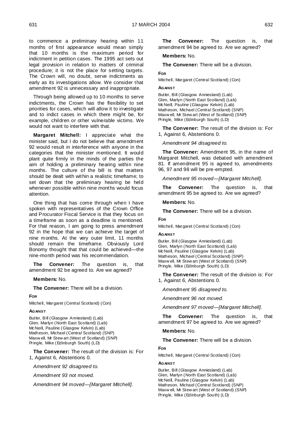to commence a preliminary hearing within 11 months of first appearance would mean simply that 10 months is the maximum period for indictment in petition cases. The 1995 act sets out legal provision in relation to matters of criminal procedure; it is not the place for setting targets. The Crown will, no doubt, serve indictments as early as its investigations allow. We consider that amendment 92 is unnecessary and inappropriate.

Through being allowed up to 10 months to serve indictments, the Crown has the flexibility to set priorities for cases, which will allow it to investigate and to indict cases in which there might be, for example, children or other vulnerable victims. We would not want to interfere with that.

**Margaret Mitchell:** I appreciate what the minister said, but I do not believe that amendment 92 would result in interference with anyone in the categories that the minister mentioned. It would plant quite firmly in the minds of the parties the aim of holding a preliminary hearing within nine months. The culture of the bill is that matters should be dealt with within a realistic timeframe; to set down that the preliminary hearing be held whenever possible within nine months would focus attention.

One thing that has come through when I have spoken with representatives of the Crown Office and Procurator Fiscal Service is that they focus on a timeframe as soon as a deadline is mentioned. For that reason, I am going to press amendment 92 in the hope that we can achieve the target of nine months. At the very outer limit, 11 months should remain the timeframe. Obviously Lord Bonomy thought that that could be achieved—the nine-month period was his recommendation.

**The Convener:** The question is, that amendment 92 be agreed to. Are we agreed?

**Members:** No.

**The Convener:** There will be a division.

**FOR**

Mitchell, Margaret (Central Scotland) (Con)

#### **AGAINST**

Butler, Bill (Glasgow Anniesland) (Lab) Glen, Marlyn (North East Scotland) (Lab) McNeill, Pauline (Glasgow Kelvin) (Lab) Matheson, Michael (Central Scotland) (SNP) Maxw ell, Mr Stew art (West of Scotland) (SNP) Pringle, Mike (Edinburgh South) (LD)

**The Convener:** The result of the division is: For 1, Against 6, Abstentions 0.

*Amendment 92 disagreed to.*

*Amendment 93 not moved.*

*Amendment 94 moved—[Margaret Mitchell].*

**The Convener:** The question is, that amendment 94 be agreed to. Are we agreed?

#### **Members:** No.

**The Convener:** There will be a division.

# **FOR**

Mitchell, Margaret (Central Scotland) (Con)

# **AGAINST**

Butler, Bill (Glasgow Anniesland) (Lab) Glen, Marlyn (North East Scotland) (Lab) McNeill, Pauline (Glasgow Kelvin) (Lab) Matheson, Michael (Central Scotland) (SNP) Maxw ell, Mr Stew art (West of Scotland) (SNP) Pringle, Mike (Edinburgh South) (LD)

**The Convener:** The result of the division is: For 1, Against 6, Abstentions 0.

*Amendment 94 disagreed to.*

**The Convener:** Amendment 95, in the name of Margaret Mitchell, was debated with amendment 81. If amendment 95 is agreed to, amendments 96, 97 and 98 will be pre-empted.

*Amendment 95 moved—[Margaret Mitchell].*

**The Convener:** The question is, that amendment 95 be agreed to. Are we agreed?

# **Members:** No.

**The Convener:** There will be a division.

# **FOR**

Mitchell, Margaret (Central Scotland) (Con)

#### **AGAINST**

Butler, Bill (Glasgow Anniesland) (Lab) Glen, Marlyn (North East Scotland) (Lab) McNeill, Pauline (Glasgow Kelvin) (Lab) Matheson, Michael (Central Scotland) (SNP) Maxw ell, Mr Stew art (West of Scotland) (SNP) Pringle, Mike (Edinburgh South) (LD)

**The Convener:** The result of the division is: For 1, Against 6, Abstentions 0.

*Amendment 95 disagreed to.*

*Amendment 96 not moved.*

*Amendment 97 moved—[Margaret Mitchell].*

**The Convener:** The question is, that amendment 97 be agreed to. Are we agreed?

## **Members:** No.

**The Convener:** There will be a division.

# **FOR**

Mitchell, Margaret (Central Scotland) (Con)

#### **AGAINST**

Butler, Bill (Glasgow Anniesland) (Lab) Glen, Marlyn (North East Scotland) (Lab) McNeill, Pauline (Glasgow Kelvin) (Lab) Matheson, Michael (Central Scotland) (SNP) Maxw ell, Mr Stew art (West of Scotland) (SNP) Pringle, Mike (Edinburgh South) (LD)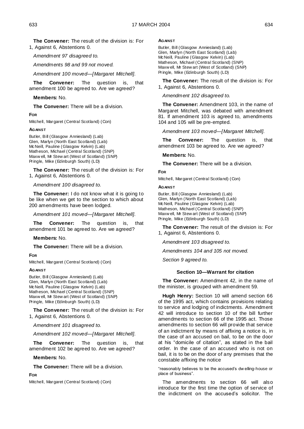**The Convener:** The result of the division is: For 1, Against 6, Abstentions 0.

*Amendment 97 disagreed to.*

*Amendments 98 and 99 not moved.*

*Amendment 100 moved—[Margaret Mitchell].*

**The Convener:** The question is, that amendment 100 be agreed to. Are we agreed?

**Members:** No.

**The Convener:** There will be a division.

# **FOR**

Mitchell, Margaret (Central Scotland) (Con)

# **AGAINST**

Butler, Bill (Glasgow Anniesland) (Lab) Glen, Marlyn (North East Scotland) (Lab) McNeill, Pauline (Glasgow Kelvin) (Lab) Matheson, Michael (Central Scotland) (SNP) Maxw ell, Mr Stew art (West of Scotland) (SNP) Pringle, Mike (Edinburgh South) (LD)

**The Convener:** The result of the division is: For 1, Against 6, Abstentions 0.

*Amendment 100 disagreed to.*

**The Convener:** I do not know what it is going to be like when we get to the section to which about 200 amendments have been lodged.

*Amendment 101 moved—[Margaret Mitchell].*

**The Convener:** The question is, that amendment 101 be agreed to. Are we agreed?

# **Members:** No.

**The Convener:** There will be a division.

# **FOR**

Mitchell, Margaret (Central Scotland) (Con)

# **AGAINST**

Butler, Bill (Glasgow Anniesland) (Lab) Glen, Marlyn (North East Scotland) (Lab) McNeill, Pauline (Glasgow Kelvin) (Lab) Matheson, Michael (Central Scotland) (SNP) Maxw ell, Mr Stew art (West of Scotland) (SNP) Pringle, Mike (Edinburgh South) (LD)

**The Convener:** The result of the division is: For 1, Against 6, Abstentions 0.

*Amendment 101 disagreed to.*

*Amendment 102 moved—[Margaret Mitchell].*

**The Convener:** The question is, that amendment 102 be agreed to. Are we agreed?

**Members:** No.

**The Convener:** There will be a division.

**FOR**

Mitchell, Margaret (Central Scotland) (Con)

# **AGAINST**

Butler, Bill (Glasgow Anniesland) (Lab) Glen, Marlyn (North East Scotland) (Lab) McNeill, Pauline (Glasgow Kelvin) (Lab) Matheson, Michael (Central Scotland) (SNP) Maxw ell, Mr Stew art (West of Scotland) (SNP) Pringle, Mike (Edinburgh South) (LD)

**The Convener:** The result of the division is: For 1, Against 6, Abstentions 0.

*Amendment 102 disagreed to.*

**The Convener:** Amendment 103, in the name of Margaret Mitchell, was debated with amendment 81. If amendment 103 is agreed to, amendments 104 and 105 will be pre-empted.

*Amendment 103 moved—[Margaret Mitchell].*

**The Convener:** The question is, that amendment 103 be agreed to. Are we agreed?

**Members:** No.

**The Convener:** There will be a division.

# **FOR**

Mitchell, Margaret (Central Scotland) (Con)

# **AGAINST**

Butler, Bill (Glasgow Anniesland) (Lab) Glen, Marlyn (North East Scotland) (Lab) McNeill, Pauline (Glasgow Kelvin) (Lab) Matheson, Michael (Central Scotland) (SNP) Maxw ell, Mr Stew art (West of Scotland) (SNP) Pringle, Mike (Edinburgh South) (LD)

**The Convener:** The result of the division is: For 1, Against 6, Abstentions 0.

*Amendment 103 disagreed to.*

*Amendments 104 and 105 not moved.*

*Section 9 agreed to.*

# **Section 10—Warrant for citation**

**The Convener:** Amendment 42, in the name of the minister, is grouped with amendment 59.

**Hugh Henry:** Section 10 will amend section 66 of the 1995 act, which contains provisions relating to service and lodging of indictments. Amendment 42 will introduce to section 10 of the bill further amendments to section 66 of the 1995 act. Those amendments to section 66 will provide that service of an indictment by means of affixing a notice is, in the case of an accused on bail, to be on the door at his "domicile of citation", as stated in the bail order. In the case of an accused who is not on bail, it is to be on the door of any premises that the constable affixing the notice

"reasonably believes to be the accused"s dw elling-house or place of business".

The amendments to section 66 will also introduce for the first time the option of service of the indictment on the accused"s solicitor. The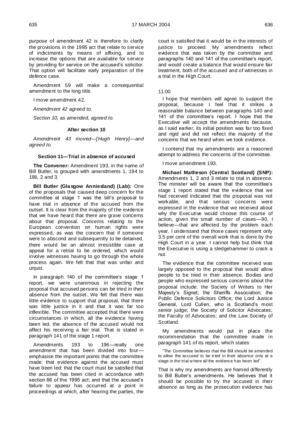purpose of amendment 42 is therefore to clarify the provisions in the 1995 act that relate to service of indictments by means of affixing, and to increase the options that are available for service by providing for service on the accused's solicitor. That option will facilitate early preparation of the defence case.

Amendment 59 will make a consequential amendment to the long title.

I move amendment 42.

*Amendment 42 agreed to.* 

*Section 10, as amended, agreed to.*

#### **After section 10**

*Amendment 43 moved—[Hugh Henry]—and agreed to.* 

# **Section 11—Trial in absence of accused**

**The Convener:** Amendment 193, in the name of Bill Butler, is grouped with amendments 1, 194 to 196, 2 and 3.

**Bill Butler (Glasgow Anniesland) (Lab):** One of the proposals that caused deep concern for the committee at stage 1 was the bill"s proposal to have trial in absence of the accused from the outset. It is clear from the majority of the evidence that we have heard that there are grave concerns about that proposal. Concerns relating to the European convention on human rights were expressed, as was the concern that if someone were to abscond and subsequently to be detained, there would be an almost irresistible case at appeal for a retrial to be ordered, which would involve witnesses having to go through the whole process again. We felt that that was unfair and unjust.

In paragraph 140 of the committee"s stage 1 report, we were unanimous in rejecting the proposal that accused persons can be tried in their absence from the outset. We felt that there was little evidence to support that proposal, that there was little justice in it and that it was far too inflexible. The committee accepted that there were circumstances in which, all the evidence having been led, the absence of the accused would not affect his receiving a fair trial. That is stated in paragraph 141 of the stage 1 report.

Amendments 193 to 196—really one amendment that has been divided into four emphasise the important points that the committee made: that evidence against the accused must have been led: that the court must be satisfied that the accused has been cited in accordance with section 66 of the 1995 act; and that the accused's failure to appear has occurred at a point in proceedings at which, after hearing the parties, the

court is satisfied that it would be in the interests of justice to proceed. My amendments reflect evidence that was taken by the committee and paragraphs 140 and 141 of the committee's report, and would create a balance that would ensure fair treatment, both of the accused and of witnesses in a trial in the High Court.

# 11:00

I hope that members will agree to support the proposal, because I feel that it strikes a reasonable balance between paragraphs 140 and 141 of the committee's report. I hope that the Executive will accept the amendments because, as I said earlier, its initial position was far too fixed and rigid and did not reflect the majority of the concerns that we heard when we took evidence.

I contend that my amendments are a reasoned attempt to address the concerns of the committee.

#### I move amendment 193.

**Michael Matheson (Central Scotland) (SNP):** Amendments 1, 2 and 3 relate to trial in absence. The minister will be aware that the committee's stage 1 report stated that the evidence that we had received indicated that the proposal was not workable, and that serious concerns were expressed in the evidence that we received about why the Executive would choose this course of action, given the small number of cases—90, I believe—that are affected by the problem each year. I understand that those cases represent only 3.5 per cent of the overall work that is done by the High Court in a year. I cannot help but think that the Executive is using a sledgehammer to crack a nut.

The evidence that the committee received was largely opposed to the proposal that would allow people to be tried in their absence. Bodies and people who expressed serious concerns about the proposal include: the Society of Writers to Her Majesty"s Signet; the Sheriffs Association; the Public Defence Solicitors Office; the Lord Justice General, Lord Cullen, who is Scotland"s most senior judge; the Society of Solicitor Advocates; the Faculty of Advocates; and the Law Society of Scotland.

My amendments would put in place the recommendation that the committee made in paragraph 141 of its report, which states:

"The Committee believes that the Bill should be amended to allow the accused to be tried in their absence only at a stage in the trial w here all the evidence has been led".

That is why my amendments are framed differently to Bill Butler"s amendments. He believes that it should be possible to try the accused in their absence as long as the prosecution evidence has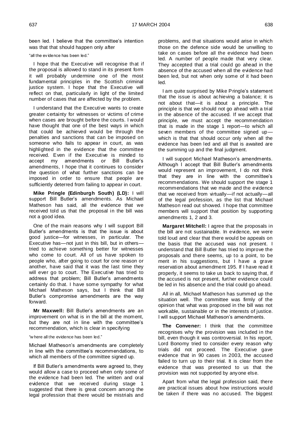been led. I believe that the committee's intention was that that should happen only after

#### "all the evidence has been led."

I hope that the Executive will recognise that if the proposal is allowed to stand in its present form it will probably undermine one of the most fundamental principles in the Scottish criminal justice system. I hope that the Executive will reflect on that, particularly in light of the limited number of cases that are affected by the problem.

I understand that the Executive wants to create greater certainty for witnesses or victims of crime when cases are brought before the courts. I would have thought that one of the best ways in which that could be achieved would be through the penalties and sanctions that can be imposed on someone who fails to appear in court, as was highlighted in the evidence that the committee received. Even if the Executive is minded to accept my amendments or Bill Butler's amendments or Bill Butler's amendments, I hope that it continues to consider the question of what further sanctions can be imposed in order to ensure that people are sufficiently deterred from failing to appear in court.

**Mike Pringle (Edinburgh South) (LD):** I will support Bill Butler's amendments. As Michael Matheson has said, all the evidence that we received told us that the proposal in the bill was not a good idea.

One of the main reasons why I will support Bill Butler"s amendments is that the issue is about good justice—for witnesses, in particular. The Executive has—not just in this bill, but in others tried to achieve something better for witnesses who come to court. All of us have spoken to people who, after going to court for one reason or another, have said that it was the last time they will ever go to court. The Executive has tried to address that problem; Bill Butler's amendments certainly do that. I have some sympathy for what Michael Matheson says, but I think that Bill Butler"s compromise amendments are the way forward.

**Mr Maxwell:** Bill Butler"s amendments are an improvement on what is in the bill at the moment, but they are not in line with the committee's recommendation, which is clear in specifying

#### "w here all the evidence has been led."

Michael Matheson"s amendments are completely in line with the committee's recommendations, to which all members of the committee signed up.

If Bill Butler"s amendments were agreed to, they would allow a case to proceed when only some of the evidence had been led. The written and oral evidence that we received during stage 1 suggested that there is great concern among the legal profession that there would be mistrials and

problems, and that situations would arise in which those on the defence side would be unwilling to take on cases before all the evidence had been led. A number of people made that very clear. They accepted that a trial could go ahead in the absence of the accused when all the evidence had been led, but not when only some of it had been led.

I am quite surprised by Mike Pringle"s statement that the issue is about achieving a balance; it is not about that—it is about a principle. The principle is that we should not go ahead with a trial in the absence of the accused. If we accept that principle, we must accept the recommendation that is made in the stage 1 report—to which all seven members of the committee signed up which is that that should occur only when all the evidence has been led and all that is awaited are the summing up and the final judgment.

I will support Michael Matheson"s amendments. Although I accept that Bill Butler's amendments would represent an improvement, I do not think that they are in line with the committee"s recommendations. We should support the stage 1 recommendations that we made and the evidence that we received from virtually—if not actually—all of the legal profession, as the list that Michael Matheson read out showed. I hope that committee members will support that position by supporting amendments 1, 2 and 3.

**Margaret Mitchell:** I agree that the proposals in the bill are not sustainable. In evidence, we were told loud and clear that there would be appeals on the basis that the accused was not present. I understand that Bill Butler has tried to improve the proposals and there seems, up to a point, to be merit in his suggestions, but I have a grave reservation about amendment 195. If I have read it properly, it seems to take us back to saying that, if the accused is not present, further evidence could be led in his absence and the trial could go ahead.

All in all, Michael Matheson has summed up the situation well. The committee was firmly of the opinion that what was proposed in the bill was not workable, sustainable or in the interests of justice. I will support Michael Matheson"s amendments.

**The Convener:** I think that the committee recognises why the provision was included in the bill, even though it was controversial. In his report, Lord Bonomy tried to consider every reason why trials did not proceed. The Executive gave evidence that in 90 cases in 2003, the accused failed to turn up to their trial. It is clear from the evidence that was presented to us that the provision was not supported by anyone else.

Apart from what the legal profession said, there are practical issues about how instructions would be taken if there was no accused. The biggest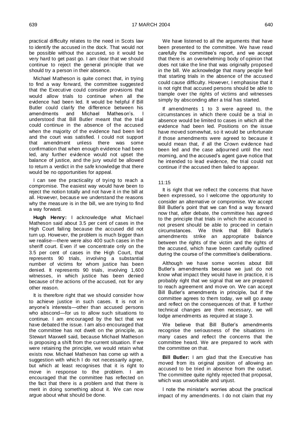practical difficulty relates to the need in Scots law to identify the accused in the dock. That would not be possible without the accused, so it would be very hard to get past go. I am clear that we should continue to reject the general principle that we should try a person in their absence.

Michael Matheson is quite correct that, in trying to find a way forward, the committee suggested that the Executive could consider provisions that would allow trials to continue when all the evidence had been led. It would be helpful if Bill Butler could clarify the difference between his amendments and Michael Matheson"s. I understood that Bill Butler meant that the trial could continue in the absence of the accused when the majority of the evidence had been led and the court was satisfied. I could not support that amendment unless there was some confirmation that when enough evidence had been led, any further evidence would not upset the balance of justice, and the jury would be allowed to return a verdict in the safe knowledge that there would be no opportunities for appeal.

I can see the practicality of trying to reach a compromise. The easiest way would have been to reject the notion totally and not have it in the bill at all. However, because we understand the reasons why the measure is in the bill, we are trying to find a way forward.

**Hugh Henry:** I acknowledge what Michael Matheson said about 3.5 per cent of cases in the High Court failing because the accused did not turn up. However, the problem is much bigger than we realise—there were also 400 such cases in the sheriff court. Even if we concentrate only on the 3.5 per cent of cases in the High Court, that represents 90 trials, involving a substantial number of victims for whom justice has been denied. It represents 90 trials, involving 1,600 witnesses, in which justice has been denied because of the actions of the accused, not for any other reason.

It is therefore right that we should consider how to achieve justice in such cases. It is not in anyone"s interests—other than accused persons who abscond—for us to allow such situations to continue. I am encouraged by the fact that we have debated the issue. I am also encouraged that the committee has not dwelt on the principle, as Stewart Maxwell said, because Michael Matheson is proposing a shift from the current situation. If we were retaining the principle, we would retain what exists now. Michael Matheson has come up with a suggestion with which I do not necessarily agree, but which at least recognises that it is right to move in response to the problem. I am encouraged that the committee has reflected on the fact that there is a problem and that there is merit in doing something about it. We can now argue about what should be done.

We have listened to all the arguments that have been presented to the committee. We have read carefully the committee's report, and we accept that there is an overwhelming body of opinion that does not take the line that was originally proposed in the bill. We acknowledge that many people feel that starting trials in the absence of the accused could cause difficulty. However, I emphasise that it is not right that accused persons should be able to trample over the rights of victims and witnesses simply by absconding after a trial has started.

If amendments 1 to 3 were agreed to, the circumstances in which there could be a trial in absence would be limited to cases in which all the evidence had been led. Positions on the issue have moved somewhat, so it would be unfortunate if those amendments were agreed to because it would mean that, if all the Crown evidence had been led and the case adjourned until the next morning, and the accused"s agent gave notice that he intended to lead evidence, the trial could not continue if the accused then failed to appear.

#### 11:15

It is right that we reflect the concerns that have been expressed, so I welcome the opportunity to consider an alternative or compromise. We accept Bill Butler"s point that we can find a way forward now that, after debate, the committee has agreed to the principle that trials in which the accused is not present should be able to proceed in certain circumstances. We think that Bill Butler"s amendments strike an appropriate balance between the rights of the victim and the rights of the accused, which have been carefully outlined during the course of the committee's deliberations.

Although we have some worries about Bill Butler"s amendments because we just do not know what impact they would have in practice, it is probably right that we signal that we are prepared to reach agreement and move on. We can accept Bill Butler's amendments in principle, but if the committee agrees to them today, we will go away and reflect on the consequences of that. If further technical changes are then necessary, we will lodge amendments as required at stage 3.

We believe that Bill Butler's amendments recognise the seriousness of the situations in many cases and reflect the concerns that the committee heard. We are prepared to work with the committee on that.

**Bill Butler:** I am glad that the Executive has moved from its original position of allowing an accused to be tried in absence from the outset. The committee quite rightly rejected that proposal, which was unworkable and unjust.

I note the minister"s worries about the practical impact of my amendments. I do not claim that my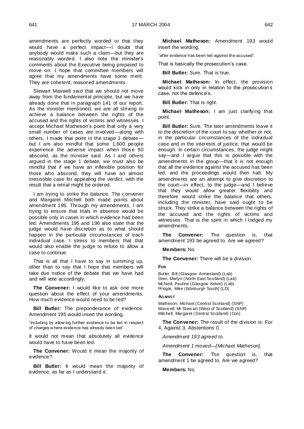amendments are perfectly worded or that they would have a perfect impact—I doubt that anybody would make such a claim—but they are reasonably worded. I also note the minister's comments about the Executive being prepared to move on. I hope that committee members will agree that my amendments have some merit. They are coherent, reasoned amendments.

Stewart Maxwell said that we should not move away from the fundamental principle, but we have already done that in paragraph 141 of our report. As the minister mentioned, we are all striving to achieve a balance between the rights of the accused and the rights of victims and witnesses. I accept Michael Matheson"s point that only a very small number of cases are involved—along with others, I made that point in the stage 1 debate but I am also mindful that some 1,600 people experience the adverse impact when those 90 abscond, as the minister said. As I and others argued in the stage 1 debate, we must also be mindful that if we have an inflexible position for those who abscond, they will have an almost irresistible case for appealing the verdict, with the result that a retrial might be ordered.

I am trying to strike the balance. The convener and Margaret Mitchell both made points about amendment 195. Through my amendments, I am trying to ensure that trials in absence would be possible only in cases in which evidence had been led. Amendments 195 and 196 also state that the judge would have discretion as to what should happen in the particular circumstances of each individual case. I stress to members that that would also enable the judge to refuse to allow a case to continue.

That is all that I have to say in summing up, other than to say that I hope that members will take due notice of the debate that we have had and will vote accordingly.

**The Convener:** I would like to ask one more question about the effect of your amendments. How much evidence would need to be led?

**Bill Butler:** The preponderance of evidence. Amendment 195 would insert the wording,

"including by allow ing further evidence to be led in respect of charges w here evidence has already been led".

It would not mean that absolutely all evidence would have to have been led.

**The Convener:** Would it mean the majority of evidence?

**Bill Butler:** It would mean the majority of evidence, as far as I understand it.

**Michael Matheson:** Amendment 193 would insert the wording,

"after evidence has been led against the accused".

That is basically the prosecution"s case.

**Bill Butler:** Sure. That is true.

**Michael Matheson:** In effect, the provision would kick in only in relation to the prosecution"s case, not the defence's.

**Bill Butler:** That is right.

**Michael Matheson:** I am just clarifying that point.

**Bill Butler:** Sure. The later amendments leave it to the discretion of the court to say whether or not, in the particular circumstances of the individual case and in the interests of justice, that would be enough. In certain circumstances, the judge might say—and I argue that this is possible with the amendments in the group—that it is not enough that all the evidence against the accused has been led, and the proceedings would then halt. My amendments are an attempt to give discretion to the court—in effect, to the judge—and I believe that they would allow greater flexibility and therefore would strike the balance that others, including the minister, have said ought to be struck. They strike a balance between the rights of the accused and the rights of victims and witnesses. That is the spirit in which I lodged my amendments.

**The Convener:** The question is, that amendment 193 be agreed to. Are we agreed?

# **Members:** No.

**The Convener:** There will be a division.

#### **FOR**

Butler, Bill (Glasgow Anniesland) (Lab) Glen, Marlyn (North East Scotland) (Lab) McNeill, Pauline (Glasgow Kelvin) (Lab) Pringle, Mike (Edinburgh South) (LD)

#### **AGAINST**

Matheson, Michael (Central Scotland) (SNP) Maxw ell, Mr Stew art (West of Scotland) (SNP) Mitchell, Margaret (Central Scotland) (Con)

**The Convener:** The result of the division is: For 4, Against 3, Abstentions 0.

*Amendment 193 agreed to.* 

*Amendment 1 moved—[Michael Matheson].*

**The Convener:** The question is, that amendment 1 be agreed to. Are we agreed?

**Members:** No.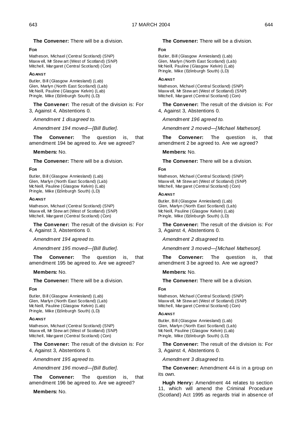**The Convener:** There will be a division.

# **FOR**

Matheson, Michael (Central Scotland) (SNP) Maxw ell, Mr Stew art (West of Scotland) (SNP) Mitchell, Margaret (Central Scotland) (Con)

#### **AGAINST**

Butler, Bill (Glasgow Anniesland) (Lab) Glen, Marlyn (North East Scotland) (Lab) McNeill, Pauline (Glasgow Kelvin) (Lab) Pringle, Mike (Edinburgh South) (LD)

**The Convener:** The result of the division is: For 3, Against 4, Abstentions 0.

*Amendment 1 disagreed to.* 

*Amendment 194 moved—[Bill Butler].*

**The Convener:** The question is, that amendment 194 be agreed to. Are we agreed?

# **Members:** No.

**The Convener:** There will be a division.

# **FOR**

Butler, Bill (Glasgow Anniesland) (Lab) Glen, Marlyn (North East Scotland) (Lab) McNeill, Pauline (Glasgow Kelvin) (Lab) Pringle, Mike (Edinburgh South) (LD)

#### **AGAINST**

Matheson, Michael (Central Scotland) (SNP) Maxw ell, Mr Stew art (West of Scotland) (SNP) Mitchell, Margaret (Central Scotland) (Con)

**The Convener:** The result of the division is: For 4, Against 3, Abstentions 0.

*Amendment 194 agreed to.*

*Amendment 195 moved—[Bill Butler].*

**The Convener:** The question is, that amendment 195 be agreed to. Are we agreed?

# **Members:** No.

**The Convener:** There will be a division.

#### **FOR**

Butler, Bill (Glasgow Anniesland) (Lab) Glen, Marlyn (North East Scotland) (Lab) McNeill, Pauline (Glasgow Kelvin) (Lab) Pringle, Mike (Edinburgh South) (LD)

# **AGAINST**

Matheson, Michael (Central Scotland) (SNP) Maxw ell, Mr Stew art (West of Scotland) (SNP) Mitchell, Margaret (Central Scotland) (Con)

**The Convener:** The result of the division is: For 4, Against 3, Abstentions 0.

*Amendment 195 agreed to.*

*Amendment 196 moved—[Bill Butler].*

**The Convener:** The question is, that amendment 196 be agreed to. Are we agreed?

**Members:** No.

# **The Convener:** There will be a division.

#### **FOR**

Butler, Bill (Glasgow Anniesland) (Lab) Glen, Marlyn (North East Scotland) (Lab) McNeill, Pauline (Glasgow Kelvin) (Lab) Pringle, Mike (Edinburgh South) (LD)

#### **AGAINST**

Matheson, Michael (Central Scotland) (SNP) Maxw ell, Mr Stew art (West of Scotland) (SNP) Mitchell, Margaret (Central Scotland) (Con)

**The Convener:** The result of the division is: For 4, Against 3, Abstentions 0.

*Amendment 196 agreed to.*

*Amendment 2 moved—[Michael Matheson].*

**The Convener:** The question is, that amendment 2 be agreed to. Are we agreed?

# **Members:** No.

**The Convener:** There will be a division.

# **FOR**

Matheson, Michael (Central Scotland) (SNP) Maxw ell, Mr Stew art (West of Scotland) (SNP) Mitchell, Margaret (Central Scotland) (Con)

#### **AGAINST**

Butler, Bill (Glasgow Anniesland) (Lab) Glen, Marlyn (North East Scotland) (Lab) McNeill, Pauline (Glasgow Kelvin) (Lab) Pringle, Mike (Edinburgh South) (LD)

**The Convener:** The result of the division is: For 3, Against 4, Abstentions 0.

*Amendment 2 disagreed to.*

*Amendment 3 moved—[Michael Matheson].*

**The Convener:** The question is, that amendment 3 be agreed to. Are we agreed?

#### **Members:** No.

**The Convener:** There will be a division.

# **FOR**

Matheson, Michael (Central Scotland) (SNP) Maxw ell, Mr Stew art (West of Scotland) (SNP) Mitchell, Margaret (Central Scotland) (Con)

# **AGAINST**

Butler, Bill (Glasgow Anniesland) (Lab) Glen, Marlyn (North East Scotland) (Lab) McNeill, Pauline (Glasgow Kelvin) (Lab) Pringle, Mike (Edinburgh South) (LD)

**The Convener:** The result of the division is: For 3, Against 4, Abstentions 0.

*Amendment 3 disagreed to.*

**The Convener:** Amendment 44 is in a group on its own.

**Hugh Henry:** Amendment 44 relates to section 11, which will amend the Criminal Procedure (Scotland) Act 1995 as regards trial in absence of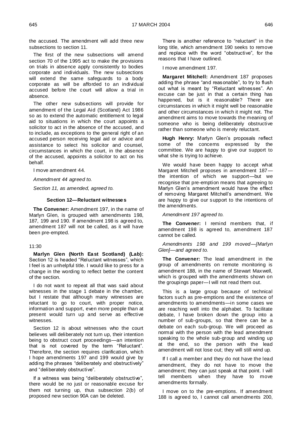the accused. The amendment will add three new subsections to section 11.

The first of the new subsections will amend section 70 of the 1995 act to make the provisions on trials in absence apply consistently to bodies corporate and individuals. The new subsections will extend the same safeguards to a body corporate as will be afforded to an individual accused before the court will allow a trial in absence.

The other new subsections will provide for amendment of the Legal Aid (Scotland) Act 1986 so as to extend the automatic entitlement to legal aid to situations in which the court appoints a solicitor to act in the absence of the accused, and to include, as exceptions to the general right of an accused person receiving legal aid or advice and assistance to select his solicitor and counsel, circumstances in which the court, in the absence of the accused, appoints a solicitor to act on his behalf.

I move amendment 44.

*Amendment 44 agreed to.* 

*Section 11, as amended, agreed to.*

# **Section 12—Reluctant witnesses**

**The Convener:** Amendment 197, in the name of Marlyn Glen, is grouped with amendments 198, 187, 199 and 190. If amendment 198 is agreed to, amendment 187 will not be called, as it will have been pre-empted.

#### 11:30

**Marlyn Glen (North East Scotland) (Lab):**  Section 12 is headed "Reluctant witnesses", which I feel is an unhelpful title. I would like to press for a change in the wording to reflect better the content of the section.

I do not want to repeat all that was said about witnesses in the stage 1 debate in the chamber, but I restate that although many witnesses are reluctant to go to court, with proper notice, information and support, even more people than at present would turn up and serve as effective witnesses.

Section 12 is about witnesses who the court believes will deliberately not turn up, their intention being to obstruct court proceedings—an intention that is not covered by the term "Reluctant". Therefore, the section requires clarification, which I hope amendments 197 and 199 would give by adding the phrases "deliberately and obstructively" and "deliberately obstructive".

If a witness was being "deliberately obstructive", there would be no just or reasonable excuse for them not turning up, thus subsection 2(b) of proposed new section 90A can be deleted.

There is another reference to "reluctant" in the long title, which amendment 190 seeks to remove and replace with the word "obstructive", for the reasons that I have outlined.

I move amendment 197.

**Margaret Mitchell:** Amendment 187 proposes adding the phrase "and reasonable", to try to flush out what is meant by "Reluctant witnesses". An excuse can be just in that a certain thing has happened, but is it reasonable? There are circumstances in which it might well be reasonable and other circumstances in which it might not. The amendment aims to move towards the meaning of someone who is being deliberately obstructive rather than someone who is merely reluctant.

Hugh Henry: Marlyn Glen's proposals reflect some of the concerns expressed by the committee. We are happy to give our support to what she is trying to achieve.

We would have been happy to accept what Margaret Mitchell proposes in amendment 187 the intention of which we support—but we recognise that pre-emption means that agreeing to Marlyn Glen"s amendment would have the effect of removing Margaret Mitchell"s amendment. We are happy to give our support to the intentions of the amendments.

*Amendment 197 agreed to.*

**The Convener:** I remind members that, if amendment 198 is agreed to, amendment 187 cannot be called.

*Amendments 198 and 199 moved—[Marlyn Glen]—and agreed to.*

**The Convener:** The lead amendment in the group of amendments on remote monitoring is amendment 188, in the name of Stewart Maxwell, which is grouped with the amendments shown on the groupings paper—I will not read them out.

This is a large group because of technical factors such as pre-emptions and the existence of amendments to amendments—in some cases we are reaching well into the alphabet. To facilitate debate, I have broken down the group into a number of sub-groups, so that there can be a debate on each sub-group. We will proceed as normal with the person with the lead amendment speaking to the whole sub-group and winding up at the end, so the person with the lead amendment will not lose out; they will still wind up.

If I call a member and they do not have the lead amendment, they do not have to move the amendment; they can just speak at that point. I will tell members when they have to move amendments formally.

I move on to the pre-emptions. If amendment 188 is agreed to, I cannot call amendments 200,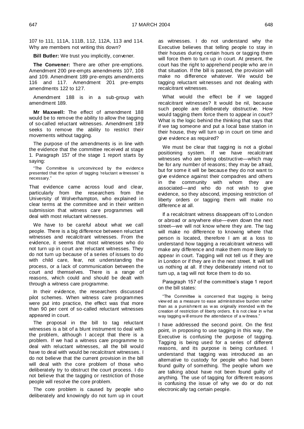107 to 111, 111A, 111B, 112, 112A, 113 and 114. Why are members not writing this down?

**Bill Butler:** We trust you implicitly, convener.

**The Convener:** There are other pre-emptions. Amendment 200 pre-empts amendments 107, 108 and 109. Amendment 189 pre-empts amendments 116 and 117. Amendment 201 pre-empts amendments 122 to 127.

Amendment 188 is in a sub-group with amendment 189.

**Mr Maxwell:** The effect of amendment 188 would be to remove the ability to allow the tagging of so-called reluctant witnesses. Amendment 189 seeks to remove the ability to restrict their movements without tagging.

The purpose of the amendments is in line with the evidence that the committee received at stage 1. Paragraph 157 of the stage 1 report starts by saying:

"The Committee is unconvinced by the evidence presented that the option of tagging 'reluctant w itnesses' is necessary."

That evidence came across loud and clear, particularly from the researchers from the University of Wolverhampton, who explained in clear terms at the committee and in their written submission that witness care programmes will deal with most reluctant witnesses.

We have to be careful about what we call people. There is a big difference between reluctant witnesses and recalcitrant witnesses. From the evidence, it seems that most witnesses who do not turn up in court are reluctant witnesses. They do not turn up because of a series of issues to do with child care, fear, not understanding the process, or a lack of communication between the court and themselves. There is a range of reasons, which could and should be dealt with through a witness care programme.

In their evidence, the researchers discussed pilot schemes. When witness care programmes were put into practice, the effect was that more than 90 per cent of so-called reluctant witnesses appeared in court.

The proposal in the bill to tag reluctant witnesses is a bit of a blunt instrument to deal with the problem, although I accept that there is a problem. If we had a witness care programme to deal with reluctant witnesses, all the bill would have to deal with would be recalcitrant witnesses. I do not believe that the current provision in the bill will deal with the core problem of those who deliberately try to obstruct the court process. I do not believe that the tagging or restriction of those people will resolve the core problem.

The core problem is caused by people who deliberately and knowingly do not turn up in court as witnesses. I do not understand why the Executive believes that telling people to stay in their houses during certain hours or tagging them will force them to turn up in court. At present, the court has the right to apprehend people who are in that situation. If the bill is passed, the provision will make no difference whatever. We would be tagging reluctant witnesses and not dealing with recalcitrant witnesses.

What would the effect be if we tagged recalcitrant witnesses? It would be nil, because such people are deliberately obstructive. How would tagging them force them to appear in court? What is the logic behind the thinking that says that if we tag someone and put a local base station in their house, they will turn up in court on time and give evidence as required?

We must be clear that tagging is not a global positioning system. If we have recalcitrant witnesses who are being obstructive—which may be for any number of reasons; they may be afraid, but for some it will be because they do not want to give evidence against their compadres and others in the community with whom they are associated—and who do not wish to give evidence, so they abscond, imposing restriction of liberty orders or tagging them will make no difference at all.

If a recalcitrant witness disappears off to London or abroad or anywhere else—even down the next street—we will not know where they are. The tag will make no difference to knowing where that person is located, therefore I am at a loss to understand how tagging a recalcitrant witness will make any difference and make them more likely to appear in court. Tagging will not tell us if they are in London or if they are in the next street. It will tell us nothing at all. If they deliberately intend not to turn up, a tag will not force them to do so.

Paragraph 157 of the committee's stage 1 report on the bill states:

"The Committee is concerned that tagging is being view ed as a measure to ease administrative burden rather than as a punishment as w as originally intended w ith the creation of restriction of liberty orders. It is not clear in w hat way tagging w ill ensure the attendance of a w itness."

I have addressed the second point. On the first point, in proposing to use tagging in this way, the Executive is confusing the purpose of tagging. Tagging is being used for a series of different reasons, and its purpose is being confused. I understand that tagging was introduced as an alternative to custody for people who had been found guilty of something. The people whom we are talking about have not been found guilty of anything. The use of tagging for different reasons is confusing the issue of why we do or do not electronically tag certain people.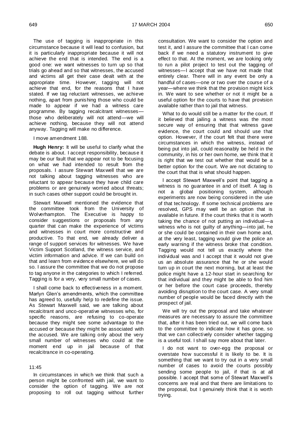The use of tagging is inappropriate in this circumstance because it will lead to confusion, but it is particularly inappropriate because it will not achieve the end that is intended. The end is a good one: we want witnesses to turn up so that trials go ahead and so that witnesses, the accused and victims all get their case dealt with at the appropriate time. However, tagging will not achieve that end, for the reasons that I have stated. If we tag reluctant witnesses, we achieve nothing, apart from punishing those who could be made to appear if we had a witness care programme. By tagging recalcitrant witnesses those who deliberately will not attend—we will achieve nothing, because they will not attend anyway. Tagging will make no difference.

I move amendment 188.

**Hugh Henry:** It will be useful to clarify what the debate is about. I accept responsibility, because it may be our fault that we appear not to be focusing on what we had intended to result from the proposals. I assure Stewart Maxwell that we are not talking about tagging witnesses who are reluctant to appear because they have child care problems or are genuinely worried about threats; in such cases other support could be brought in.

Stewart Maxwell mentioned the evidence that the committee took from the University of Wolverhampton. The Executive is happy to consider suggestions or proposals from any quarter that can make the experience of victims and witnesses in court more constructive and productive. To that end, we already deliver a range of support services for witnesses. We have Victim Support Scotland, the witness service, and victim information and advice. If we can build on that and learn from evidence elsewhere, we will do so. I assure the committee that we do not propose to tag anyone in the categories to which I referred. Tagging is for a very, very small number of cases.

I shall come back to effectiveness in a moment. Marlyn Glen"s amendments, which the committee has agreed to, usefully help to redefine the issue. As Stewart Maxwell said, we are talking about recalcitrant and unco-operative witnesses who, for specific reasons, are refusing to co-operate because they might see some advantage to the accused or because they might be associated with the accused. We are talking only about the very small number of witnesses who could at the moment end up in jail because of that recalcitrance in co-operating.

# 11:45

In circumstances in which we think that such a person might be confronted with jail, we want to consider the option of tagging. We are not proposing to roll out tagging without further consultation. We want to consider the option and test it, and I assure the committee that I can come back if we need a statutory instrument to give effect to that. At the moment, we are looking only to run a pilot project to test out the tagging of witnesses—I accept that we have not made that entirely clear. There will in any event be only a handful of cases—one or two over the course of a year—where we think that the provision might kick in. We want to see whether or not it might be a useful option for the courts to have that provision available rather than to jail that witness.

What to do would still be a matter for the court. If it believed that jailing a witness was the most secure way of ensuring that that witness gave evidence, the court could and should use that option. However, if the court felt that there were circumstances in which the witness, instead of being put into jail, could reasonably be held in the community, in his or her own home, we think that it is right that we test out whether that would be a better option for the court. We are not dictating to the court that that is what should happen.

I accept Stewart Maxwell"s point that tagging a witness is no guarantee in and of itself. A tag is not a global positioning system, although experiments are now being considered in the use of that technology. If some technical problems are resolved, GPS may well be an option that is available in future. If the court thinks that it is worth taking the chance of not putting an individual—a witness who is not guilty of anything—into jail, he or she could be contained in their own home and, at the very least, tagging would give the police an early warning if the witness broke that condition. Tagging would not tell us exactly where the individual was and I accept that it would not give us an absolute assurance that he or she would turn up in court the next morning, but at least the police might have a 12-hour start in searching for that individual and they might be able to find him or her before the court case proceeds, thereby avoiding disruption to the court case. A very small number of people would be faced directly with the prospect of jail.

We will try out the proposal and take whatever measures are necessary to assure the committee that, after it has been tried out, we will come back to the committee to indicate how it has gone, so that we can collectively consider whether tagging is a useful tool. I shall say more about that later.

I do not want to over-egg the proposal or overstate how successful it is likely to be. It is something that we want to try out in a very small number of cases to avoid the courts possibly sending some people to jail, if that is at all possible. I accept that some of Stewart Maxwell"s concerns are real and that there are limitations to the proposal, but I genuinely think that it is worth trying.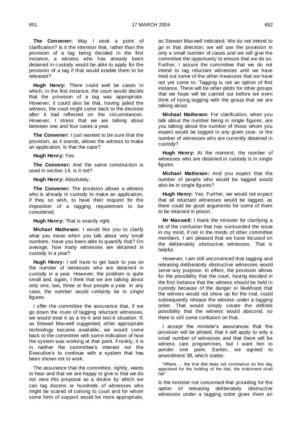**The Convener:** May I seek a point of clarification? Is it the intention that, rather than the provision of a tag being decided in the first instance, a witness who has already been detained in custody would be able to apply for the provision of a tag if that would enable them to be released?

**Hugh Henry:** There could well be cases in which, in the first instance, the court would decide that the provision of a tag was appropriate. However, it could also be that, having jailed the witness, the court might come back to the decision after it had reflected on the circumstances. However, I stress that we are talking about between one and four cases a year.

**The Convener:** I just wanted to be sure that the provision, as it stands, allows the witness to make an application. Is that the case?

**Hugh Henry:** Yes.

**The Convener:** And the same construction is used in section 14, is it not?

**Hugh Henry:** Absolutely.

**The Convener:** The provision allows a witness who is already in custody to make an application, if they so wish, to have their request for the imposition of a tagging requirement to be considered.

**Hugh Henry:** That is exactly right.

**Michael Matheson:** I would like you to clarify what you mean when you talk about very small numbers. Have you been able to quantify that? On average, how many witnesses are detained in custody in a year?

**Hugh Henry:** I will have to get back to you on the number of witnesses who are detained in custody in a year. However, the problem is quite small and, again, I think that we are talking about only one, two, three or four people a year. In any case, the number would certainly be in single figures.

I offer the committee the assurance that, if we go down the route of tagging reluctant witnesses, we would treat it as a try-it and test-it situation. If, as Stewart Maxwell suggested, other appropriate technology became available, we would come back to the committee with some indication of how the system was working at that point. Frankly, it is in neither the committee"s interest nor the Executive's to continue with a system that has been shown not to work.

The assurance that the committee, rightly, wants to hear and that we are happy to give is that we do not view this proposal as a device by which we can tag dozens or hundreds of witnesses who might be scared of coming to court and for whom some form of support would be more appropriate,

as Stewart Maxwell indicated. We do not intend to go in that direction; we will use the provision in only a small number of cases and we will give the committee the opportunity to ensure that we do so. Further, I assure the committee that we do not intend to tag reluctant witnesses until we have tried out some of the other measures that we have not yet come to. Tagging is not an option of first instance. There will be other pilots for other groups that we hope will be carried out before we even think of trying tagging with the group that we are talking about.

**Michael Matheson:** For clarification, when you talk about the number being in single figures, are you talking about the number of those whom you expect would be tagged in any given year, or the number of witnesses who are currently detained in custody?

**Hugh Henry:** At the moment, the number of witnesses who are detained in custody is in single figures.

**Michael Matheson:** And you expect that the number of people who would be tagged would also be in single figures?

**Hugh Henry:** Yes. Further, we would not expect that all reluctant witnesses would be tagged, as there could be good arguments for some of them to be retained in prison.

**Mr Maxwell:** I thank the minister for clarifying a lot of the confusion that has surrounded the issue in my mind, if not in the minds of other committee members. I am pleased that we have focused on the deliberately obstructive witnesses. That is helpful.

However, I am still unconvinced that tagging and releasing deliberately obstructive witnesses would serve any purpose. In effect, the provision allows for the possibility that the court, having decided in the first instance that the witness should be held in custody because of the danger or likelihood that the witness would not show up for the trial, could subsequently release the witness under a tagging order. That would simply create the definite possibility that the witness would abscond, so there is still some confusion on that.

I accept the minister"s assurances that the provision will be piloted, that it will apply to only a small number of witnesses and that there will be witness care programmes, but I want him to ponder one point. Earlier, we agreed to amendment 39, which states:

"Where … the trial diet does not commence on the day appointed for the holding of the diet, the indictment shall fall."

Is the minister not concerned that providing for the option of releasing deliberately obstructive witnesses under a tagging order gives them an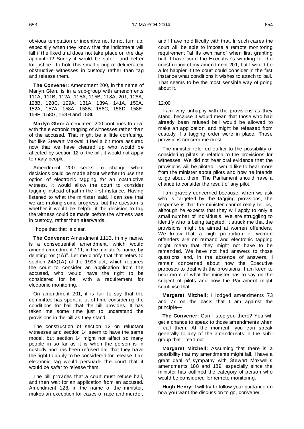obvious temptation or incentive not to not turn up, especially when they know that the indictment will fall if the fixed trial does not take place on the day appointed? Surely it would be safer—and better for justice—to hold this small group of deliberately obstructive witnesses in custody rather than tag and release them.

**The Convener:** Amendment 200, in the name of Marlyn Glen, is in a sub-group with amendments 111A, 111B, 112A, 115A, 115B, 118A, 201, 128A, 128B, 128C, 129A, 131A, 139A, 141A, 150A, 152A, 157A, 158A, 158B, 158C, 158D, 158E, 158F, 158G, 158H and 158I.

**Marlyn Glen:** Amendment 200 continues to deal with the electronic tagging of witnesses rather than of the accused. That might be a little confusing, but like Stewart Maxwell I feel a bit more assured now that we have cleared up who would be affected by section 12 of the bill; it would not apply to many people.

Amendment 200 seeks to change when decisions could be made about whether to use the option of electronic tagging for an obstructive witness. It would allow the court to consider tagging instead of jail in the first instance. Having listened to what the minister said, I can see that we are making some progress, but the question is whether it would be helpful if the decision to tag the witness could be made before the witness was in custody, rather than afterwards.

I hope that that is clear.

**The Convener:** Amendment 111B, in my name, is a consequential amendment, which would amend amendment 111, in the minister's name, by deleting "or (1A)". Let me clarify that that refers to section 24A(1A) of the 1995 act, which requires the court to consider an application from the accused, who would have the right to be considered for bail with a requirement for electronic monitoring.

On amendment 201, it is fair to say that the committee has spent a lot of time considering the conditions for bail that the bill provides. It has taken me some time just to understand the provisions in the bill as they stand.

The construction of section 12 on reluctant witnesses and section 14 seem to have the same model, but section 14 might not affect so many people in so far as it is when the person is in custody and has been refused bail that they have the right to apply to be considered for release if an electronic tag would persuade the court that it would be safer to release them.

The bill provides that a court must refuse bail, and then wait for an application from an accused. Amendment 128, in the name of the minister, makes an exception for cases of rape and murder, and I have no difficulty with that. In such cases the court will be able to impose a remote monitoring requirement "at its own hand" when first granting bail. I have used the Executive's wording for the construction of my amendment 201, but I would be a lot happier if the court could consider in the first instance what conditions it wishes to attach to bail. That seems to be the most sensible way of going about it.

#### 12:00

I am very unhappy with the provisions as they stand, because it would mean that those who had already been refused bail would be allowed to make an application, and might be released from custody if a tagging order were in place. Those provisions concern me most.

The minister referred earlier to the possibility of considering pilots in relation to the provisions for witnesses. We did not hear oral evidence that the provisions will be piloted. I would like to hear more from the minister about pilots and how he intends to go about them. The Parliament should have a chance to consider the result of any pilot.

I am gravely concerned because, when we ask who is targeted by the tagging provisions, the response is that the minister cannot really tell us, although he expects that they will apply to only a small number of individuals. We are struggling to identify who is being targeted. It struck me that the provisions might be aimed at women offenders. We know that a high proportion of women offenders are on remand and electronic tagging might mean that they might not have to be remanded. We have not had answers to those questions and, in the absence of answers, I remain concerned about how the Executive proposes to deal with the provisions. I am keen to hear more of what the minister has to say on the subject of pilots and how the Parliament might scrutinise that.

**Margaret Mitchell:** I lodged amendments 73 and 77 on the basis that I am against the principle—

**The Convener:** Can I stop you there? You will get a chance to speak to those amendments when I call them. At the moment, you can speak generally to any of the amendments in the subgroup that I read out.

**Margaret Mitchell:** Assuming that there is a possibility that my amendments might fall, I have a great deal of sympathy with Stewart Maxwell"s amendments 188 and 189, especially since the minister has outlined the category of person who would be considered for remote monitoring.

**Hugh Henry:** I will try to follow your guidance on how you want the discussion to go, convener.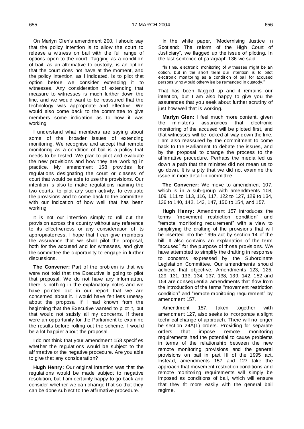On Marlyn Glen"s amendment 200, I should say that the policy intention is to allow the court to release a witness on bail with the full range of options open to the court. Tagging as a condition of bail, as an alternative to custody, is an option that the court does not have at the moment, and the policy intention, as I indicated, is to pilot that option before we consider extending it to witnesses. Any consideration of extending that measure to witnesses is much further down the line, and we would want to be reassured that the technology was appropriate and effective. We would also come back to the committee to give members some indication as to how it was working.

I understand what members are saying about some of the broader issues of extending monitoring. We recognise and accept that remote monitoring as a condition of bail is a policy that needs to be tested. We plan to pilot and evaluate the new provisions and how they are working in practice. My amendment 158 provides for regulations designating the court or classes of court that would be able to use the provisions. Our intention is also to make regulations naming the two courts, to pilot any such activity, to evaluate the provisions and to come back to the committee with our indication of how well that has been working.

It is not our intention simply to roll out the provision across the country without any reference to its effectiveness or any consideration of its appropriateness. I hope that I can give members the assurance that we shall pilot the proposal, both for the accused and for witnesses, and give the committee the opportunity to engage in further discussions.

**The Convener:** Part of the problem is that we were not told that the Executive is going to pilot that proposal. We do not have any information, there is nothing in the explanatory notes and we have pointed out in our report that we are concerned about it. I would have felt less uneasy about the proposal if I had known from the beginning that the Executive wanted to pilot it, but that would not satisfy all my concerns. If there were an opportunity for the Parliament to examine the results before rolling out the scheme, I would be a lot happier about the proposal.

I do not think that your amendment 158 specifies whether the regulations would be subject to the affirmative or the negative procedure. Are you able to give that any consideration?

**Hugh Henry:** Our original intention was that the regulations would be made subject to negative resolution, but I am certainly happy to go back and consider whether we can change that so that they can be done subject to the affirmative procedure.

In the white paper, "Modernising Justice in Scotland: The reform of the High Court of Justiciary", we flagged up the issue of piloting. In the last sentence of paragraph 136 we said:

"In time, electronic monitoring of w itnesses might be an option, but in the short term our intention is to pilot electronic monitoring as a condition of bail for accused persons w ho w ould otherw ise be remanded in custody."

That has been flagged up and it remains our intention, but I am also happy to give you the assurances that you seek about further scrutiny of just how well that is working.

**Marlyn Glen:** I feel much more content, given the minister"s assurances that electronic monitoring of the accused will be piloted first, and that witnesses will be looked at way down the line. I am also reassured by the commitment to come back to the Parliament to debate the issues, and by the proposal to change the process to the affirmative procedure. Perhaps the media led us down a path that the minister did not mean us to go down. It is a pity that we did not examine the issue in more detail in committee.

**The Convener:** We move to amendment 107, which is in a sub-group with amendments 108, 109, 111 to 113, 116, 117, 122 to 127, 129 to 134, 136 to 140, 142, 143, 147, 150 to 154, and 157.

**Hugh Henry:** Amendment 157 introduces the terms "movement restriction condition" and "remote monitoring requirement" with a view to simplifying the drafting of the provisions that will be inserted into the 1995 act by section 14 of the bill. It also contains an explanation of the term "accused" for the purpose of those provisions. We have attempted to simplify the drafting in response to concerns expressed by the Subordinate Legislation Committee. Our amendments should achieve that objective. Amendments 123, 125, 129, 131, 133, 134, 137, 138, 139, 142, 152 and 154 are consequential amendments that flow from the introduction of the terms "movement restriction condition" and "remote monitoring requirement" by amendment 157.

Amendment 157, taken together with amendment 127, also seeks to incorporate a slight technical change of approach. There will no longer be section 24A(1) orders. Providing for separate orders that impose remote monitoring requirements had the potential to cause problems in terms of the relationship between the new remote monitoring provisions and the general provisions on bail in part III of the 1995 act. Instead, amendments 157 and 127 take the approach that movement restriction conditions and remote monitoring requirements will simply be imposed as conditions of bail, which will ensure that they fit more easily with the general bail regime.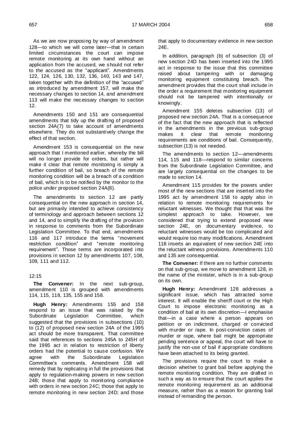As we are now proposing by way of amendment 128—to which we will come later—that in certain limited circumstances the court can impose remote monitoring at its own hand without an application from the accused, we should not refer to the accused as the "applicant". Amendments 122, 124, 126, 130, 132, 136, 140, 143 and 147, taken together with the definition of the "accused" as introduced by amendment 157, will make the necessary changes to section 14, and amendment 113 will make the necessary changes to section 12.

Amendments 150 and 151 are consequential amendments that tidy up the drafting of proposed section 24A(7) to take account of amendments elsewhere. They do not substantively change the effect of that section.

Amendment 153 is consequential on the new approach that I mentioned earlier, whereby the bill will no longer provide for orders, but rather will make it clear that remote monitoring is simply a further condition of bail, so breach of the remote monitoring condition will be a breach of a condition of bail, which is to be notified by the monitor to the police under proposed section 24A(8).

The amendments to section 12 are partly consequential on the new approach in section 14, but are primarily intended to achieve consistency of terminology and approach between sections 12 and 14, and to simplify the drafting of the provision in response to comments from the Subordinate Legislation Committee. To that end, amendments 116 and 117 introduce the terms "movement restriction condition" and "remote monitoring requirement". Those terms are incorporated into provisions in section 12 by amendments 107, 108, 109, 111 and 112.

# 12:15

**The Convener:** In the next sub-group, amendment 110 is grouped with amendments 114, 115, 118, 135, 155 and 158.

**Hugh Henry:** Amendments 155 and 158 respond to an issue that was raised by the Subordinate Legislation Committee, which suggested that the provisions in subsections (10) to (12) of proposed new section 24A of the 1995 act should be more transparent. That committee said that references to sections 245A to 245H of the 1995 act in relation to restriction of liberty orders had the potential to cause confusion. We agree with the Subordinate Legislation Committee"s comments. Amendment 158 will remedy that by replicating in full the provisions that apply to regulation-making powers in new section 24B; those that apply to monitoring compliance with orders in new section 24C; those that apply to remote monitoring in new section 24D; and those

that apply to documentary evidence in new section 24E.

In addition, paragraph (b) of subsection (3) of new section 24D has been inserted into the 1995 act in response to the issue that this committee raised about tampering with or damaging monitoring equipment constituting breach. The amendment provides that the court shall include in the order a requirement that monitoring equipment should not be tampered with intentionally or knowingly.

Amendment 155 deletes subsection (13) of proposed new section 24A. That is a consequence of the fact that the new approach that is reflected in the amendments in the previous sub-group makes it clear that remote monitoring requirements are conditions of bail. Consequently, subsection (13) is not needed.

The amendments to section 12—amendments 114, 115 and 118—respond to similar concerns from the Subordinate Legislation Committee, and are largely consequential on the changes to be made to section 14.

Amendment 115 provides for the powers under most of the new sections that are inserted into the 1995 act by amendment 158 to apply also in relation to remote monitoring requirements for reluctant witnesses. We thought that that was the simplest approach to take. However, we considered that trying to extend proposed new section 24E, on documentary evidence, to reluctant witnesses would be too complicated and would require too many modifications. Amendment 118 inserts an equivalent of new section 24E into the reluctant witness provisions. Amendments 110 and 135 are consequential.

**The Convener:** If there are no further comments on that sub-group, we move to amendment 128, in the name of the minister, which is in a sub-group on its own.

**Hugh Henry:** Amendment 128 addresses a significant issue, which has attracted some interest. It will enable the sheriff court or the High Court to impose electronic monitoring as a condition of bail at its own discretion—I emphasise that—in a case where a person appears on petition or on indictment, charged or convicted with murder or rape. In post-conviction cases of murder or rape, where bail might be appropriate pending sentence or appeal, the court will have to justify the non-use of bail if appropriate conditions have been attached to its being granted.

The provisions require the court to make a decision whether to grant bail before applying the remote monitoring condition. They are drafted in such a way as to ensure that the court applies the remote monitoring requirement as an additional measure, rather than as a reason for granting bail instead of remanding the person.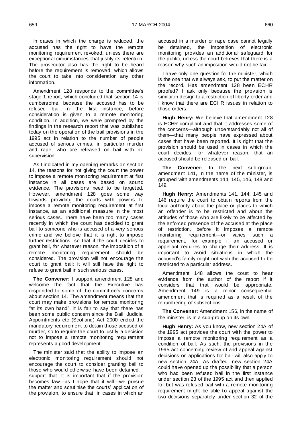In cases in which the charge is reduced, the accused has the right to have the remote monitoring requirement revoked, unless there are exceptional circumstances that justify its retention. The prosecutor also has the right to be heard before the requirement is removed, which allows the court to take into consideration any other information.

Amendment 128 responds to the committee"s stage 1 report, which concluded that section 14 is cumbersome, because the accused has to be refused bail in the first instance, before consideration is given to a remote monitoring condition. In addition, we were prompted by the findings in the research report that was published today on the operation of the bail provisions in the 1995 act in relation to the number of people accused of serious crimes, in particular murder and rape, who are released on bail with no supervision.

As I indicated in my opening remarks on section 14, the reasons for not giving the court the power to impose a remote monitoring requirement at first instance in all cases are based on sound evidence. The provisions need to be targeted. However, amendment 128 goes some way towards providing the courts with powers to impose a remote monitoring requirement at first instance, as an additional measure in the most serious cases. There have been too many cases recently in which the court has decided to grant bail to someone who is accused of a very serious crime and we believe that it is right to impose further restrictions, so that if the court decides to grant bail, for whatever reason, the imposition of a remote monitoring requirement should be considered. The provision will not encourage the court to grant bail; it will still have the right to refuse to grant bail in such serious cases.

**The Convener:** I support amendment 128 and welcome the fact that the Executive has responded to some of the committee's concerns about section 14. The amendment means that the court may make provisions for remote monitoring "at its own hand". It is fair to say that there has been some public concern since the Bail, Judicial Appointments etc (Scotland) Act 2000 ended the mandatory requirement to detain those accused of murder, so to require the court to justify a decision not to impose a remote monitoring requirement represents a good development.

The minister said that the ability to impose an electronic monitoring requirement should not encourage the court to consider granting bail to those who would otherwise have been detained. I support that. It is important that if the provision becomes law—as I hope that it will—we pursue the matter and scrutinise the courts' application of the provision, to ensure that, in cases in which an

accused in a murder or rape case cannot legally be detained, the imposition of electronic monitoring provides an additional safeguard for the public, unless the court believes that there is a reason why such an imposition would not be fair.

I have only one question for the minister, which is the one that we always ask, to put the matter on the record. Has amendment 128 been ECHR proofed? I ask only because the provision is similar in design to a restriction of liberty order and I know that there are ECHR issues in relation to those orders.

**Hugh Henry:** We believe that amendment 128 is ECHR compliant and that it addresses some of the concerns—although understandably not all of them—that many people have expressed about cases that have been reported. It is right that the provision should be used in cases in which the court decides, for whatever reason, that an accused should be released on bail.

**The Convener:** In the next sub-group, amendment 141, in the name of the minister, is grouped with amendments 144, 145, 146, 148 and 149.

**Hugh Henry:** Amendments 141, 144, 145 and 146 require the court to obtain reports from the local authority about the place or places to which an offender is to be restricted and about the attitudes of those who are likely to be affected by the enforced presence of the accused at the place of restriction, before it imposes a remote monitoring requirement—or varies such a requirement, for example if an accused or appellant requires to change their address. It is important to avoid situations in which the accused"s family might not wish the accused to be restricted to a particular address.

Amendment 148 allows the court to hear evidence from the author of the report if it considers that that would be appropriate. Amendment 149 is a minor consequential amendment that is required as a result of the renumbering of subsections.

**The Convener:** Amendment 156, in the name of the minister, is in a sub-group on its own.

**Hugh Henry:** As you know, new section 24A of the 1995 act provides the court with the power to impose a remote monitoring requirement as a condition of bail. As such, the provisions in the 1995 act concerning review of and appeal against decisions on applications for bail will also apply to new section 24A. As drafted, new section 24A could have opened up the possibility that a person who had been refused bail in the first instance under section 23 of the 1995 act and then applied for but was refused bail with a remote monitoring requirement might be able to appeal against the two decisions separately under section 32 of the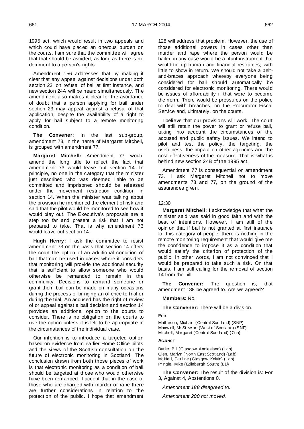1995 act, which would result in t wo appeals and which could have placed an onerous burden on the courts. I am sure that the committee will agree that that should be avoided, as long as there is no detriment to a person's rights.

Amendment 156 addresses that by making it clear that any appeal against decisions under both section 23, on refusal of bail at first instance, and new section 24A will be heard simultaneously. The amendment also makes it clear for the avoidance of doubt that a person applying for bail under section 23 may appeal against a refusal of that application, despite the availability of a right to apply for bail subject to a remote monitoring condition.

**The Convener:** In the last sub-group, amendment 73, in the name of Margaret Mitchell, is grouped with amendment 77.

**Margaret Mitchell:** Amendment 77 would amend the long title to reflect the fact that amendment 73 would leave out section 14. In principle, no one in the category that the minister just described who was deemed liable to be committed and imprisoned should be released under the movement restriction condition in section 14. When the minister was talking about the provision he mentioned the element of risk and said that the pilot would be monitored to see how it would play out. The Executive's proposals are a step too far and present a risk that I am not prepared to take. That is why amendment 73 would leave out section 14.

**Hugh Henry:** I ask the committee to resist amendment 73 on the basis that section 14 offers the court the option of an additional condition of bail that can be used in cases where it considers that monitoring will provide the additional security that is sufficient to allow someone who would otherwise be remanded to remain in the community. Decisions to remand someone or grant them bail can be made on many occasions during the process of bringing an offence to trial or during the trial. An accused has the right of review of or appeal against a bail decision and s ection 14 provides an additional option to the courts to consider. There is no obligation on the courts to use the option unless it is felt to be appropriate in the circumstances of the individual case.

Our intention is to introduce a targeted option based on evidence from earlier Home Office pilots and the views of the Scottish consultation on the future of electronic monitoring in Scotland. The conclusion drawn from both those pieces of work is that electronic monitoring as a condition of bail should be targeted at those who would otherwise have been remanded. I accept that in the case of those who are charged with murder or rape there are further considerations in relation to the protection of the public. I hope that amendment 128 will address that problem. However, the use of those additional powers in cases other than murder and rape where the person would be bailed in any case would be a blunt instrument that would tie up human and financial resources, with little to show in return. We should not take a beltand-braces approach whereby everyone being considered for bail should automatically be considered for electronic monitoring. There would be issues of affordability if that were to become the norm. There would be pressures on the police to deal with breaches, on the Procurator Fiscal Service and, ultimately, on the courts.

I believe that our provisions will work. The court will still retain the power to grant or refuse bail, taking into account the circumstances of the accused and public safety issues. We intend to pilot and test the policy, the targeting, the usefulness, the impact on other agencies and the cost effectiveness of the measure. That is what is behind new section 24B of the 1995 act.

Amendment 77 is consequential on amendment 73. I ask Margaret Mitchell not to move amendments 73 and 77, on the ground of the assurances given.

#### 12:30

**Margaret Mitchell:** I acknowledge that what the minister said was said in good faith and with the best of intentions. However, I am still of the opinion that if bail is not granted at first instance for this category of people, there is nothing in the remote monitoring requirement that would give me the confidence to impose it as a condition that would satisfy the criterion of protection of the public. In other words, I am not convinced that I would be prepared to take such a risk. On that basis, I am still calling for the removal of section 14 from the bill.

**The Convener:** The question is, that amendment 188 be agreed to. Are we agreed?

#### **Members:** No.

#### **The Convener:** There will be a division.

#### **FOR**

Matheson, Michael (Central Scotland) (SNP) Maxw ell, Mr Stew art (West of Scotland) (SNP) Mitchell, Margaret (Central Scotland) (Con)

# **AGAINST**

Butler, Bill (Glasgow Anniesland) (Lab) Glen, Marlyn (North East Scotland) (Lab) McNeill, Pauline (Glasgow Kelvin) (Lab) Pringle, Mike (Edinburgh South) (LD)

**The Convener:** The result of the division is: For 3, Against 4, Abstentions 0.

*Amendment 188 disagreed to.*

*Amendment 200 not moved.*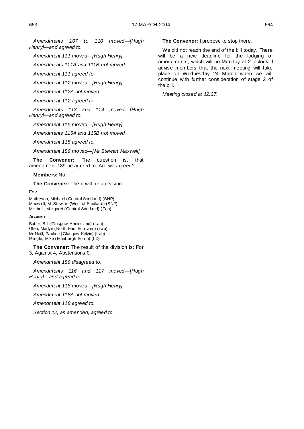*Amendments 107 to 110 moved—[Hugh Henry]—and agreed to.*

*Amendment 111 moved—[Hugh Henry].*

*Amendments 111A and 111B not moved.*

*Amendment 111 agreed to.*

*Amendment 112 moved—[Hugh Henry].*

*Amendment 112A not moved.*

*Amendment 112 agreed to.*

*Amendments 113 and 114 moved—[Hugh Henry]—and agreed to.*

*Amendment 115 moved—[Hugh Henry].*

*Amendments 115A and 115B not moved.*

*Amendment 115 agreed to.*

*Amendment 189 moved—[Mr Stewart Maxwell].*

**The Convener:** The question is, that amendment 189 be agreed to. Are we agreed?

**Members:** No.

**The Convener:** There will be a division.

**FOR**

Matheson, Michael (Central Scotland) (SNP) Maxw ell, Mr Stew art (West of Scotland) (SNP) Mitchell, Margaret (Central Scotland) (Con)

# **AGAINST**

Butler, Bill (Glasgow Anniesland) (Lab) Glen, Marlyn (North East Scotland) (Lab) McNeill, Pauline (Glasgow Kelvin) (Lab) Pringle, Mike (Edinburgh South) (LD)

**The Convener:** The result of the division is: For 3, Against 4, Abstentions 0.

*Amendment 189 disagreed to.*

*Amendments 116 and 117 moved—[Hugh Henry]—and agreed to.*

*Amendment 118 moved—[Hugh Henry].*

*Amendment 118A not moved.*

*Amendment 118 agreed to.*

*Section 12, as amended, agreed to.*

**The Convener:** I propose to stop there.

We did not reach the end of the bill today. There will be a new deadline for the lodging of amendments, which will be Monday at 2 o"clock. I advise members that the next meeting will take place on Wednesday 24 March when we will continue with further consideration of stage 2 of the bill.

*Meeting closed at 12:37.*